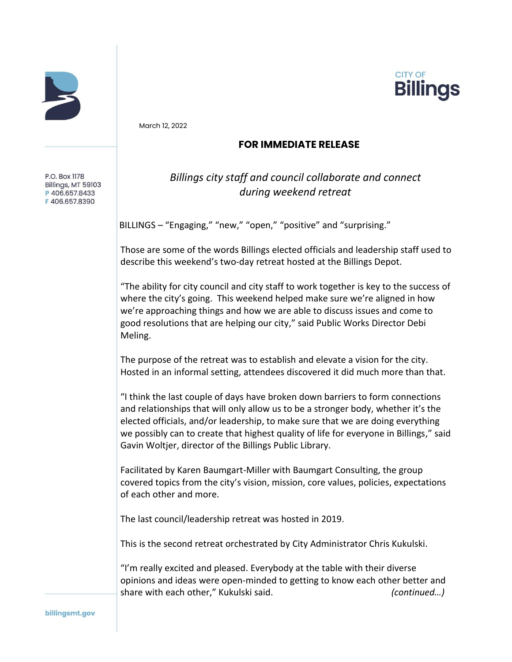



March 12, 2022

## **FOR IMMEDIATE RELEASE**

P.O. Box 1178 Billings, MT 59103 P406.657.8433 F406.657.8390

## *Billings city staff and council collaborate and connect during weekend retreat*

BILLINGS – "Engaging," "new," "open," "positive" and "surprising."

Those are some of the words Billings elected officials and leadership staff used to describe this weekend's two-day retreat hosted at the Billings Depot.

"The ability for city council and city staff to work together is key to the success of where the city's going. This weekend helped make sure we're aligned in how we're approaching things and how we are able to discuss issues and come to good resolutions that are helping our city," said Public Works Director Debi Meling.

The purpose of the retreat was to establish and elevate a vision for the city. Hosted in an informal setting, attendees discovered it did much more than that.

"I think the last couple of days have broken down barriers to form connections and relationships that will only allow us to be a stronger body, whether it's the elected officials, and/or leadership, to make sure that we are doing everything we possibly can to create that highest quality of life for everyone in Billings," said Gavin Woltjer, director of the Billings Public Library.

Facilitated by Karen Baumgart-Miller with Baumgart Consulting, the group covered topics from the city's vision, mission, core values, policies, expectations of each other and more.

The last council/leadership retreat was hosted in 2019.

This is the second retreat orchestrated by City Administrator Chris Kukulski.

"I'm really excited and pleased. Everybody at the table with their diverse opinions and ideas were open-minded to getting to know each other better and share with each other," Kukulski said. *(continued…)*